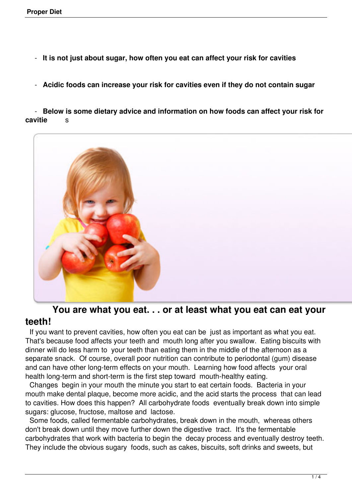- **It is not just about sugar, how often you eat can affect your risk for cavities**
- **Acidic foods can increase your risk for cavities even if they do not contain sugar**

 - **Below is some dietary advice and information on how foods can affect your risk for cavitie** s



## **You are what you eat. . . or at least what you eat can eat your teeth!**

 If you want to prevent cavities, how often you eat can be just as important as what you eat. That's because food affects your teeth and mouth long after you swallow. Eating biscuits with dinner will do less harm to your teeth than eating them in the middle of the afternoon as a separate snack. Of course, overall poor nutrition can contribute to periodontal (gum) disease and can have other long-term effects on your mouth. Learning how food affects your oral health long-term and short-term is the first step toward mouth-healthy eating.

 Changes begin in your mouth the minute you start to eat certain foods. Bacteria in your mouth make dental plaque, become more acidic, and the acid starts the process that can lead to cavities. How does this happen? All carbohydrate foods eventually break down into simple sugars: glucose, fructose, maltose and lactose.

 Some foods, called fermentable carbohydrates, break down in the mouth, whereas others don't break down until they move further down the digestive tract. It's the fermentable carbohydrates that work with bacteria to begin the decay process and eventually destroy teeth. They include the obvious sugary foods, such as cakes, biscuits, soft drinks and sweets, but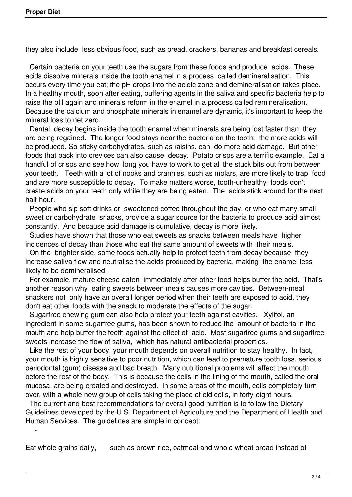$\sim$   $-$ 

they also include less obvious food, such as bread, crackers, bananas and breakfast cereals.

 Certain bacteria on your teeth use the sugars from these foods and produce acids. These acids dissolve minerals inside the tooth enamel in a process called demineralisation. This occurs every time you eat; the pH drops into the acidic zone and demineralisation takes place. In a healthy mouth, soon after eating, buffering agents in the saliva and specific bacteria help to raise the pH again and minerals reform in the enamel in a process called remineralisation. Because the calcium and phosphate minerals in enamel are dynamic, it's important to keep the mineral loss to net zero.

 Dental decay begins inside the tooth enamel when minerals are being lost faster than they are being regained. The longer food stays near the bacteria on the tooth, the more acids will be produced. So sticky carbohydrates, such as raisins, can do more acid damage. But other foods that pack into crevices can also cause decay. Potato crisps are a terrific example. Eat a handful of crisps and see how long you have to work to get all the stuck bits out from between your teeth. Teeth with a lot of nooks and crannies, such as molars, are more likely to trap food and are more susceptible to decay. To make matters worse, tooth-unhealthy foods don't create acids on your teeth only while they are being eaten. The acids stick around for the next half-hour.

 People who sip soft drinks or sweetened coffee throughout the day, or who eat many small sweet or carbohydrate snacks, provide a sugar source for the bacteria to produce acid almost constantly. And because acid damage is cumulative, decay is more likely.

 Studies have shown that those who eat sweets as snacks between meals have higher incidences of decay than those who eat the same amount of sweets with their meals.

 On the brighter side, some foods actually help to protect teeth from decay because they increase saliva flow and neutralise the acids produced by bacteria, making the enamel less likely to be demineralised.

 For example, mature cheese eaten immediately after other food helps buffer the acid. That's another reason why eating sweets between meals causes more cavities. Between-meal snackers not only have an overall longer period when their teeth are exposed to acid, they don't eat other foods with the snack to moderate the effects of the sugar.

 Sugarfree chewing gum can also help protect your teeth against cavities. Xylitol, an ingredient in some sugarfree gums, has been shown to reduce the amount of bacteria in the mouth and help buffer the teeth against the effect of acid. Most sugarfree gums and sugarlfree sweets increase the flow of saliva, which has natural antibacterial properties.

 Like the rest of your body, your mouth depends on overall nutrition to stay healthy. In fact, your mouth is highly sensitive to poor nutrition, which can lead to premature tooth loss, serious periodontal (gum) disease and bad breath. Many nutritional problems will affect the mouth before the rest of the body. This is because the cells in the lining of the mouth, called the oral mucosa, are being created and destroyed. In some areas of the mouth, cells completely turn over, with a whole new group of cells taking the place of old cells, in forty-eight hours.

 The current and best recommendations for overall good nutrition is to follow the Dietary Guidelines developed by the U.S. Department of Agriculture and the Department of Health and Human Services. The guidelines are simple in concept:

Eat whole grains daily, such as brown rice, oatmeal and whole wheat bread instead of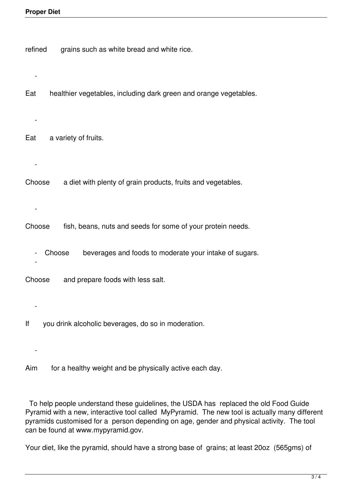| refined<br>grains such as white bread and white rice.                    |
|--------------------------------------------------------------------------|
| healthier vegetables, including dark green and orange vegetables.<br>Eat |
| a variety of fruits.<br>Eat                                              |
| a diet with plenty of grain products, fruits and vegetables.<br>Choose   |
| Choose<br>fish, beans, nuts and seeds for some of your protein needs.    |
| beverages and foods to moderate your intake of sugars.<br>Choose         |
| and prepare foods with less salt.<br>Choose                              |
| you drink alcoholic beverages, do so in moderation.<br>lf                |
| for a healthy weight and be physically active each day.<br>Aim           |

 To help people understand these guidelines, the USDA has replaced the old Food Guide Pyramid with a new, interactive tool called MyPyramid. The new tool is actually many different pyramids customised for a person depending on age, gender and physical activity. The tool can be found at www.mypyramid.gov.

Your diet, like the pyramid, should have a strong base of grains; at least 20oz (565gms) of